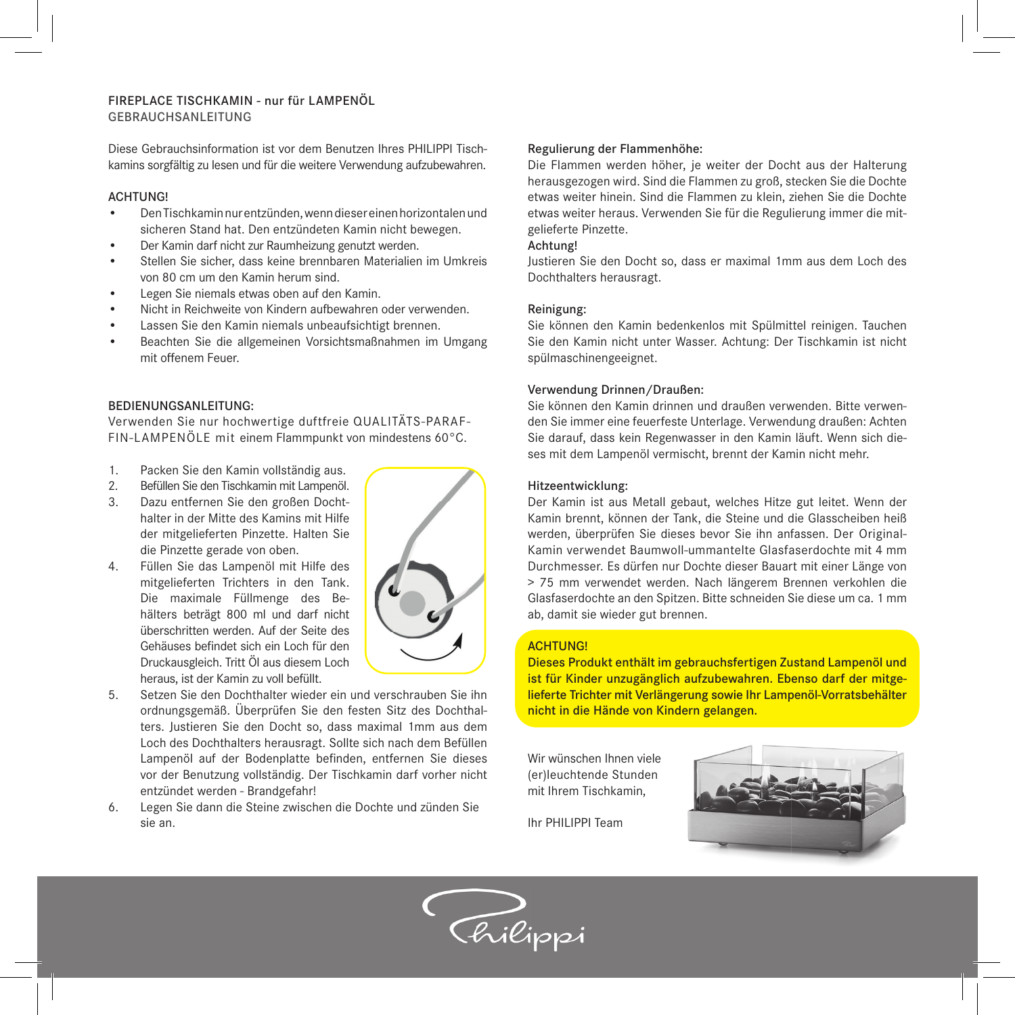# FIREPLACE TISCHKAMIN - nur für LAMPENÖL GEBRAUCHSANLEITUNG

Diese Gebrauchsinformation ist vor dem Benutzen Ihres PHILIPPI Tischkamins sorgfältig zu lesen und für die weitere Verwendung aufzubewahren.

## ACHTUNG!

- Den Tischkamin nur entzünden, wenn dieser einen horizontalen und sicheren Stand hat. Den entzündeten Kamin nicht bewegen.
- Der Kamin darf nicht zur Raumheizung genutzt werden.
- Stellen Sie sicher, dass keine brennbaren Materialien im Umkreis von 80 cm um den Kamin herum sind.
- Legen Sie niemals etwas oben auf den Kamin.
- Nicht in Reichweite von Kindern aufbewahren oder verwenden.
- Lassen Sie den Kamin niemals unbeaufsichtigt brennen.
- Beachten Sie die allgemeinen Vorsichtsmaßnahmen im Umgang mit offenem Feuer.

## BEDIENUNGSANLEITUNG:

Verwenden Sie nur hochwertige duftfreie QUALITÄTS-PARAF-FIN-LAMPENÖLE mit einem Flammpunkt von mindestens 60°C.

- 1. Packen Sie den Kamin vollständig aus.
- 2. Befüllen Sie den Tischkamin mit Lampenöl.
- 3. Dazu entfernen Sie den großen Dochthalter in der Mitte des Kamins mit Hilfe der mitgelieferten Pinzette. Halten Sie die Pinzette gerade von oben.
- 4. Füllen Sie das Lampenöl mit Hilfe des mitgelieferten Trichters in den Tank. Die maximale Füllmenge des Behälters beträgt 800 ml und darf nicht überschritten werden. Auf der Seite des Gehäuses befindet sich ein Loch für den Druckausgleich. Tritt Öl aus diesem Loch heraus, ist der Kamin zu voll befüllt.



- 5. Setzen Sie den Dochthalter wieder ein und verschrauben Sie ihn ordnungsgemäß. Überprüfen Sie den festen Sitz des Dochthalters. Justieren Sie den Docht so, dass maximal 1mm aus dem Loch des Dochthalters herausragt. Sollte sich nach dem Befüllen Lampenöl auf der Bodenplatte befinden, entfernen Sie dieses vor der Benutzung vollständig. Der Tischkamin darf vorher nicht entzündet werden - Brandgefahr!
- 6. Legen Sie dann die Steine zwischen die Dochte und zünden Sie sie an.

## Regulierung der Flammenhöhe:

Die Flammen werden höher, je weiter der Docht aus der Halterung herausgezogen wird. Sind die Flammen zu groß, stecken Sie die Dochte etwas weiter hinein. Sind die Flammen zu klein, ziehen Sie die Dochte etwas weiter heraus. Verwenden Sie für die Regulierung immer die mitgelieferte Pinzette.

### Achtung!

Justieren Sie den Docht so, dass er maximal 1mm aus dem Loch des Dochthalters herausragt.

## Reinigung:

Sie können den Kamin bedenkenlos mit Spülmittel reinigen. Tauchen Sie den Kamin nicht unter Wasser. Achtung: Der Tischkamin ist nicht spülmaschinengeeignet.

## Verwendung Drinnen/Draußen:

Sie können den Kamin drinnen und draußen verwenden. Bitte verwenden Sie immer eine feuerfeste Unterlage. Verwendung draußen: Achten Sie darauf, dass kein Regenwasser in den Kamin läuft. Wenn sich dieses mit dem Lampenöl vermischt, brennt der Kamin nicht mehr.

#### Hitzeentwicklung:

Der Kamin ist aus Metall gebaut, welches Hitze gut leitet. Wenn der Kamin brennt, können der Tank, die Steine und die Glasscheiben heiß werden, überprüfen Sie dieses bevor Sie ihn anfassen. Der Original-Kamin verwendet Baumwoll-ummantelte Glasfaserdochte mit 4 mm Durchmesser. Es dürfen nur Dochte dieser Bauart mit einer Länge von > 75 mm verwendet werden. Nach längerem Brennen verkohlen die Glasfaserdochte an den Spitzen. Bitte schneiden Sie diese um ca. 1 mm ab, damit sie wieder gut brennen.

# **ACHTUNG!**

Dieses Produkt enthält im gebrauchsfertigen Zustand Lampenöl und ist für Kinder unzugänglich aufzubewahren. Ebenso darf der mitgelieferte Trichter mit Verlängerung sowie Ihr Lampenöl-Vorratsbehälter nicht in die Hände von Kindern gelangen.

Wir wünschen Ihnen viele (er)leuchtende Stunden mit Ihrem Tischkamin,



Ihr PHILIPPI Team